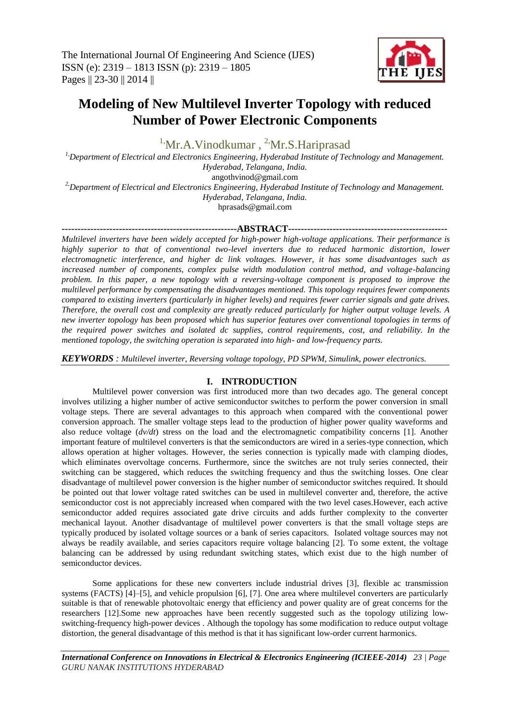

# **Modeling of New Multilevel Inverter Topology with reduced Number of Power Electronic Components**

<sup>1</sup><sup>,</sup>Mr.A.Vinodkumar,<sup>2</sup>,Mr.S.Hariprasad

*1,Department of Electrical and Electronics Engineering, Hyderabad Institute of Technology and Management. Hyderabad, Telangana, India.* angothvinod@gmail.com *2,Department of Electrical and Electronics Engineering, Hyderabad Institute of Technology and Management. Hyderabad, Telangana, India.*

hprasads@gmail.com

**-------------------------------------------------------ABSTRACT--------------------------------------------------**

*Multilevel inverters have been widely accepted for high-power high-voltage applications. Their performance is highly superior to that of conventional two-level inverters due to reduced harmonic distortion, lower electromagnetic interference, and higher dc link voltages. However, it has some disadvantages such as increased number of components, complex pulse width modulation control method, and voltage-balancing problem. In this paper, a new topology with a reversing-voltage component is proposed to improve the multilevel performance by compensating the disadvantages mentioned. This topology requires fewer components compared to existing inverters (particularly in higher levels) and requires fewer carrier signals and gate drives. Therefore, the overall cost and complexity are greatly reduced particularly for higher output voltage levels. A new inverter topology has been proposed which has superior features over conventional topologies in terms of the required power switches and isolated dc supplies, control requirements, cost, and reliability. In the mentioned topology, the switching operation is separated into high- and low-frequency parts.*

*KEYWORDS : Multilevel inverter, Reversing voltage topology, PD SPWM, Simulink, power electronics.*

## **I. INTRODUCTION**

Multilevel power conversion was first introduced more than two decades ago. The general concept involves utilizing a higher number of active semiconductor switches to perform the power conversion in small voltage steps. There are several advantages to this approach when compared with the conventional power conversion approach. The smaller voltage steps lead to the production of higher power quality waveforms and also reduce voltage (*dv/dt*) stress on the load and the electromagnetic compatibility concerns [1]. Another important feature of multilevel converters is that the semiconductors are wired in a series-type connection, which allows operation at higher voltages. However, the series connection is typically made with clamping diodes, which eliminates overvoltage concerns. Furthermore, since the switches are not truly series connected, their switching can be staggered, which reduces the switching frequency and thus the switching losses. One clear disadvantage of multilevel power conversion is the higher number of semiconductor switches required. It should be pointed out that lower voltage rated switches can be used in multilevel converter and, therefore, the active semiconductor cost is not appreciably increased when compared with the two level cases.However, each active semiconductor added requires associated gate drive circuits and adds further complexity to the converter mechanical layout. Another disadvantage of multilevel power converters is that the small voltage steps are typically produced by isolated voltage sources or a bank of series capacitors. Isolated voltage sources may not always be readily available, and series capacitors require voltage balancing [2]. To some extent, the voltage balancing can be addressed by using redundant switching states, which exist due to the high number of semiconductor devices.

Some applications for these new converters include industrial drives [3], flexible ac transmission systems (FACTS) [4]–[5], and vehicle propulsion [6], [7]. One area where multilevel converters are particularly suitable is that of renewable photovoltaic energy that efficiency and power quality are of great concerns for the researchers [12].Some new approaches have been recently suggested such as the topology utilizing lowswitching-frequency high-power devices . Although the topology has some modification to reduce output voltage distortion, the general disadvantage of this method is that it has significant low-order current harmonics.

*International Conference on Innovations in Electrical & Electronics Engineering (ICIEEE-2014) 23 | Page GURU NANAK INSTITUTIONS HYDERABAD*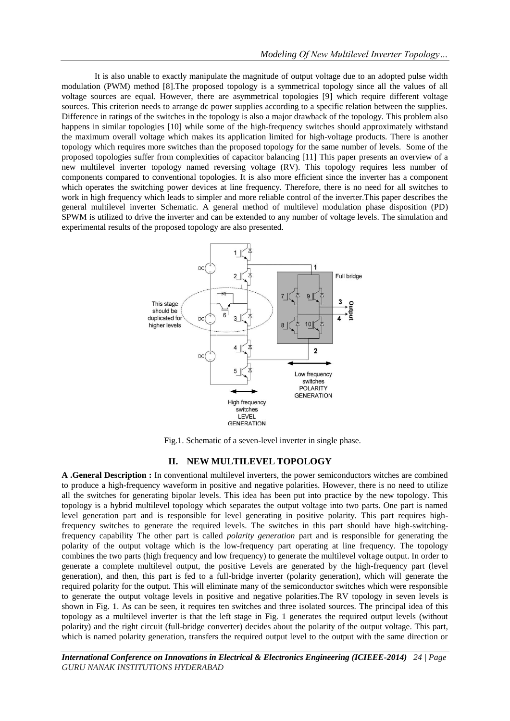It is also unable to exactly manipulate the magnitude of output voltage due to an adopted pulse width modulation (PWM) method [8].The proposed topology is a symmetrical topology since all the values of all voltage sources are equal. However, there are asymmetrical topologies [9] which require different voltage sources. This criterion needs to arrange dc power supplies according to a specific relation between the supplies. Difference in ratings of the switches in the topology is also a major drawback of the topology. This problem also happens in similar topologies [10] while some of the high-frequency switches should approximately withstand the maximum overall voltage which makes its application limited for high-voltage products. There is another topology which requires more switches than the proposed topology for the same number of levels. Some of the proposed topologies suffer from complexities of capacitor balancing [11] This paper presents an overview of a new multilevel inverter topology named reversing voltage (RV). This topology requires less number of components compared to conventional topologies. It is also more efficient since the inverter has a component which operates the switching power devices at line frequency. Therefore, there is no need for all switches to work in high frequency which leads to simpler and more reliable control of the inverter.This paper describes the general multilevel inverter Schematic. A general method of multilevel modulation phase disposition (PD) SPWM is utilized to drive the inverter and can be extended to any number of voltage levels. The simulation and experimental results of the proposed topology are also presented.



Fig.1. Schematic of a seven-level inverter in single phase.

#### **II. NEW MULTILEVEL TOPOLOGY**

**A .General Description :** In conventional multilevel inverters, the power semiconductors witches are combined to produce a high-frequency waveform in positive and negative polarities. However, there is no need to utilize all the switches for generating bipolar levels. This idea has been put into practice by the new topology. This topology is a hybrid multilevel topology which separates the output voltage into two parts. One part is named level generation part and is responsible for level generating in positive polarity. This part requires highfrequency switches to generate the required levels. The switches in this part should have high-switchingfrequency capability The other part is called *polarity generation* part and is responsible for generating the polarity of the output voltage which is the low-frequency part operating at line frequency. The topology combines the two parts (high frequency and low frequency) to generate the multilevel voltage output. In order to generate a complete multilevel output, the positive Levels are generated by the high-frequency part (level generation), and then, this part is fed to a full-bridge inverter (polarity generation), which will generate the required polarity for the output. This will eliminate many of the semiconductor switches which were responsible to generate the output voltage levels in positive and negative polarities.The RV topology in seven levels is shown in Fig. 1. As can be seen, it requires ten switches and three isolated sources. The principal idea of this topology as a multilevel inverter is that the left stage in Fig. 1 generates the required output levels (without polarity) and the right circuit (full-bridge converter) decides about the polarity of the output voltage. This part, which is named polarity generation, transfers the required output level to the output with the same direction or

*International Conference on Innovations in Electrical & Electronics Engineering (ICIEEE-2014) 24 | Page GURU NANAK INSTITUTIONS HYDERABAD*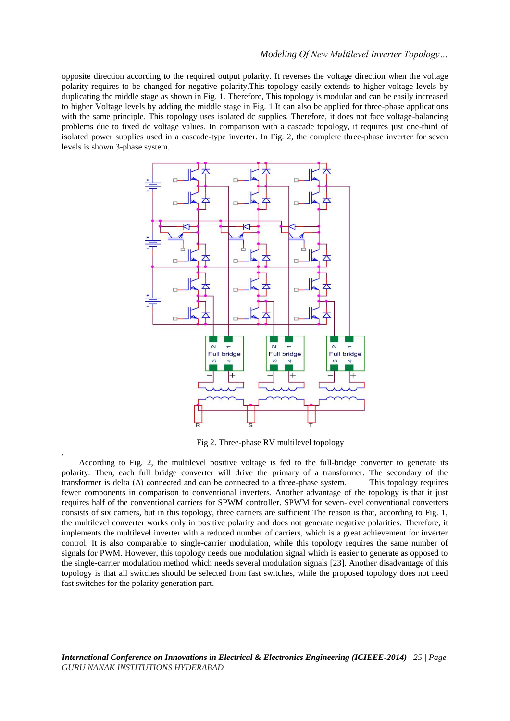opposite direction according to the required output polarity. It reverses the voltage direction when the voltage polarity requires to be changed for negative polarity.This topology easily extends to higher voltage levels by duplicating the middle stage as shown in Fig. 1. Therefore, This topology is modular and can be easily increased to higher Voltage levels by adding the middle stage in Fig. 1.It can also be applied for three-phase applications with the same principle. This topology uses isolated dc supplies. Therefore, it does not face voltage-balancing problems due to fixed dc voltage values. In comparison with a cascade topology, it requires just one-third of isolated power supplies used in a cascade-type inverter. In Fig. 2, the complete three-phase inverter for seven levels is shown 3-phase system.



Fig 2. Three-phase RV multilevel topology

 According to Fig. 2, the multilevel positive voltage is fed to the full-bridge converter to generate its polarity. Then, each full bridge converter will drive the primary of a transformer. The secondary of the transformer is delta  $(\Delta)$  connected and can be connected to a three-phase system. This topology requires fewer components in comparison to conventional inverters. Another advantage of the topology is that it just requires half of the conventional carriers for SPWM controller. SPWM for seven-level conventional converters consists of six carriers, but in this topology, three carriers are sufficient The reason is that, according to Fig. 1, the multilevel converter works only in positive polarity and does not generate negative polarities. Therefore, it implements the multilevel inverter with a reduced number of carriers, which is a great achievement for inverter control. It is also comparable to single-carrier modulation, while this topology requires the same number of signals for PWM. However, this topology needs one modulation signal which is easier to generate as opposed to the single-carrier modulation method which needs several modulation signals [23]. Another disadvantage of this topology is that all switches should be selected from fast switches, while the proposed topology does not need fast switches for the polarity generation part.

.

*International Conference on Innovations in Electrical & Electronics Engineering (ICIEEE-2014) 25 | Page GURU NANAK INSTITUTIONS HYDERABAD*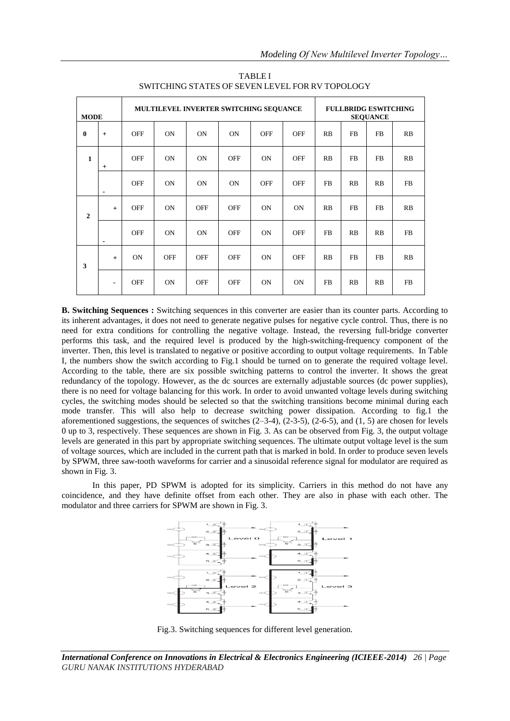| <b>MODE</b>    |                | MULTILEVEL INVERTER SWITCHING SEQUANCE |            |            |            |            |            | <b>FULLBRIDG ESWITCHING</b><br><b>SEQUANCE</b> |           |           |           |
|----------------|----------------|----------------------------------------|------------|------------|------------|------------|------------|------------------------------------------------|-----------|-----------|-----------|
| $\mathbf{0}$   | $+$            | <b>OFF</b>                             | <b>ON</b>  | <b>ON</b>  | <b>ON</b>  | <b>OFF</b> | <b>OFF</b> | RB                                             | <b>FB</b> | <b>FB</b> | RB        |
| $\mathbf{1}$   | $+$            | <b>OFF</b>                             | <b>ON</b>  | <b>ON</b>  | <b>OFF</b> | <b>ON</b>  | <b>OFF</b> | RB                                             | <b>FB</b> | <b>FB</b> | RB        |
|                | $\blacksquare$ | <b>OFF</b>                             | <b>ON</b>  | <b>ON</b>  | <b>ON</b>  | <b>OFF</b> | <b>OFF</b> | <b>FB</b>                                      | RB        | RB        | <b>FB</b> |
| $\overline{2}$ | $+$            | <b>OFF</b>                             | <b>ON</b>  | <b>OFF</b> | <b>OFF</b> | <b>ON</b>  | <b>ON</b>  | RB                                             | <b>FB</b> | <b>FB</b> | RB        |
|                | $\blacksquare$ | <b>OFF</b>                             | <b>ON</b>  | <b>ON</b>  | <b>OFF</b> | <b>ON</b>  | <b>OFF</b> | <b>FB</b>                                      | RB        | RB        | <b>FB</b> |
| 3              | $+$            | <b>ON</b>                              | <b>OFF</b> | <b>OFF</b> | <b>OFF</b> | <b>ON</b>  | <b>OFF</b> | RB                                             | <b>FB</b> | <b>FB</b> | RB        |
|                | $\blacksquare$ | <b>OFF</b>                             | <b>ON</b>  | <b>OFF</b> | <b>OFF</b> | <b>ON</b>  | <b>ON</b>  | <b>FB</b>                                      | RB        | RB        | <b>FB</b> |

TABLE I SWITCHING STATES OF SEVEN LEVEL FOR RV TOPOLOGY

**B. Switching Sequences :** Switching sequences in this converter are easier than its counter parts. According to its inherent advantages, it does not need to generate negative pulses for negative cycle control. Thus, there is no need for extra conditions for controlling the negative voltage. Instead, the reversing full-bridge converter performs this task, and the required level is produced by the high-switching-frequency component of the inverter. Then, this level is translated to negative or positive according to output voltage requirements. In Table I, the numbers show the switch according to Fig.1 should be turned on to generate the required voltage level. According to the table, there are six possible switching patterns to control the inverter. It shows the great redundancy of the topology. However, as the dc sources are externally adjustable sources (dc power supplies), there is no need for voltage balancing for this work. In order to avoid unwanted voltage levels during switching cycles, the switching modes should be selected so that the switching transitions become minimal during each mode transfer. This will also help to decrease switching power dissipation. According to fig.1 the aforementioned suggestions, the sequences of switches  $(2-3-4)$ ,  $(2-3-5)$ ,  $(2-6-5)$ , and  $(1, 5)$  are chosen for levels 0 up to 3, respectively. These sequences are shown in Fig. 3. As can be observed from Fig. 3, the output voltage levels are generated in this part by appropriate switching sequences. The ultimate output voltage level is the sum of voltage sources, which are included in the current path that is marked in bold. In order to produce seven levels by SPWM, three saw-tooth waveforms for carrier and a sinusoidal reference signal for modulator are required as shown in Fig. 3.

In this paper, PD SPWM is adopted for its simplicity. Carriers in this method do not have any coincidence, and they have definite offset from each other. They are also in phase with each other. The modulator and three carriers for SPWM are shown in Fig. 3.



Fig.3. Switching sequences for different level generation.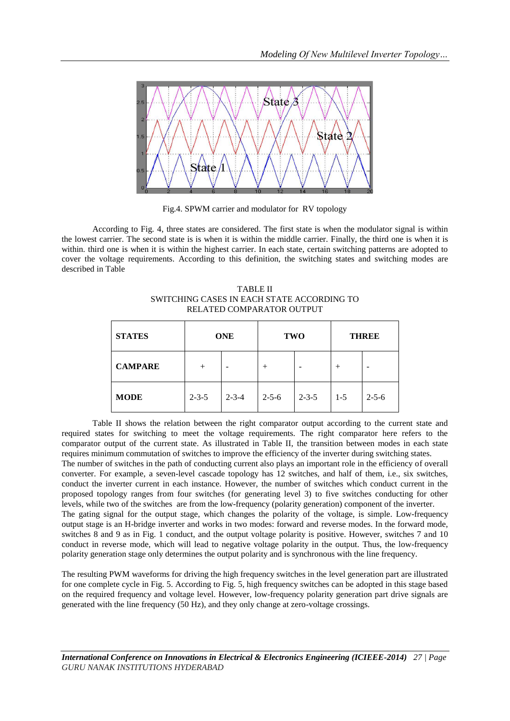

Fig.4. SPWM carrier and modulator for RV topology

According to Fig. 4, three states are considered. The first state is when the modulator signal is within the lowest carrier. The second state is is when it is within the middle carrier. Finally, the third one is when it is within. third one is when it is within the highest carrier. In each state, certain switching patterns are adopted to cover the voltage requirements. According to this definition, the switching states and switching modes are described in Table

TABLE II SWITCHING CASES IN EACH STATE ACCORDING TO RELATED COMPARATOR OUTPUT

| <b>STATES</b>  | <b>ONE</b>  |             |             | <b>TWO</b>  | THREE |             |
|----------------|-------------|-------------|-------------|-------------|-------|-------------|
| <b>CAMPARE</b> | $^{+}$      | -           | $^+$        |             | $^+$  |             |
| <b>MODE</b>    | $2 - 3 - 5$ | $2 - 3 - 4$ | $2 - 5 - 6$ | $2 - 3 - 5$ | $1-5$ | $2 - 5 - 6$ |

Table II shows the relation between the right comparator output according to the current state and required states for switching to meet the voltage requirements. The right comparator here refers to the comparator output of the current state. As illustrated in Table II, the transition between modes in each state requires minimum commutation of switches to improve the efficiency of the inverter during switching states. The number of switches in the path of conducting current also plays an important role in the efficiency of overall converter. For example, a seven-level cascade topology has 12 switches, and half of them, i.e., six switches, conduct the inverter current in each instance. However, the number of switches which conduct current in the proposed topology ranges from four switches (for generating level 3) to five switches conducting for other levels, while two of the switches are from the low-frequency (polarity generation) component of the inverter. The gating signal for the output stage, which changes the polarity of the voltage, is simple. Low-frequency output stage is an H-bridge inverter and works in two modes: forward and reverse modes. In the forward mode, switches 8 and 9 as in Fig. 1 conduct, and the output voltage polarity is positive. However, switches 7 and 10 conduct in reverse mode, which will lead to negative voltage polarity in the output. Thus, the low-frequency polarity generation stage only determines the output polarity and is synchronous with the line frequency.

The resulting PWM waveforms for driving the high frequency switches in the level generation part are illustrated for one complete cycle in Fig. 5. According to Fig. 5, high frequency switches can be adopted in this stage based on the required frequency and voltage level. However, low-frequency polarity generation part drive signals are generated with the line frequency (50 Hz), and they only change at zero-voltage crossings.

*International Conference on Innovations in Electrical & Electronics Engineering (ICIEEE-2014) 27 | Page GURU NANAK INSTITUTIONS HYDERABAD*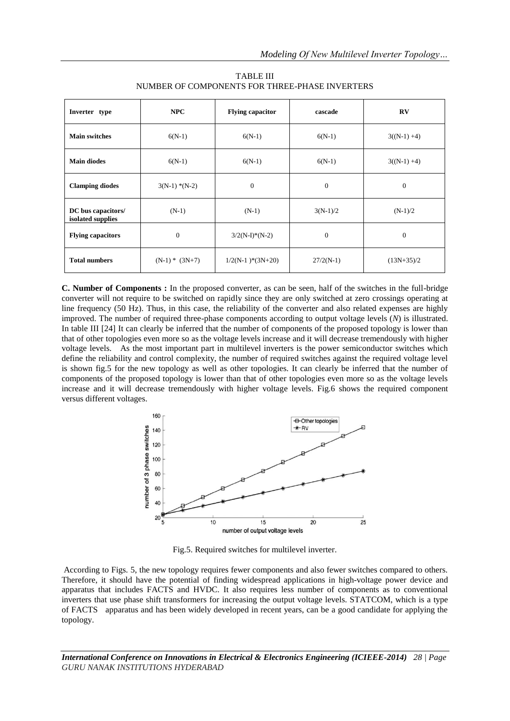| Inverter type                           | NPC              | <b>Flying capacitor</b> | cascade      | RV             |  |
|-----------------------------------------|------------------|-------------------------|--------------|----------------|--|
| <b>Main switches</b>                    | $6(N-1)$         | $6(N-1)$                | $6(N-1)$     | $3((N-1) + 4)$ |  |
| <b>Main diodes</b>                      | $6(N-1)$         | $6(N-1)$                | $6(N-1)$     | $3((N-1) + 4)$ |  |
| <b>Clamping diodes</b>                  | $3(N-1)*(N-2)$   | $\mathbf{0}$            | $\mathbf{0}$ | $\mathbf{0}$   |  |
| DC bus capacitors/<br>isolated supplies | $(N-1)$          | $(N-1)$                 | $3(N-1)/2$   | $(N-1)/2$      |  |
| <b>Flying capacitors</b>                | $\boldsymbol{0}$ | $3/2(N-I)*(N-2)$        | $\theta$     | $\overline{0}$ |  |
| <b>Total numbers</b>                    | $(N-1) * (3N+7)$ | $1/2(N-1)*(3N+20)$      | $27/2(N-1)$  | $(13N+35)/2$   |  |

TABLE III NUMBER OF COMPONENTS FOR THREE-PHASE INVERTERS

**C. Number of Components :** In the proposed converter, as can be seen, half of the switches in the full-bridge converter will not require to be switched on rapidly since they are only switched at zero crossings operating at line frequency (50 Hz). Thus, in this case, the reliability of the converter and also related expenses are highly improved. The number of required three-phase components according to output voltage levels (*N*) is illustrated. In table III [24] It can clearly be inferred that the number of components of the proposed topology is lower than that of other topologies even more so as the voltage levels increase and it will decrease tremendously with higher voltage levels. As the most important part in multilevel inverters is the power semiconductor switches which define the reliability and control complexity, the number of required switches against the required voltage level is shown fig.5 for the new topology as well as other topologies. It can clearly be inferred that the number of components of the proposed topology is lower than that of other topologies even more so as the voltage levels increase and it will decrease tremendously with higher voltage levels. Fig.6 shows the required component versus different voltages.



Fig.5. Required switches for multilevel inverter.

According to Figs. 5, the new topology requires fewer components and also fewer switches compared to others. Therefore, it should have the potential of finding widespread applications in high-voltage power device and apparatus that includes FACTS and HVDC. It also requires less number of components as to conventional inverters that use phase shift transformers for increasing the output voltage levels. STATCOM, which is a type of FACTS apparatus and has been widely developed in recent years, can be a good candidate for applying the topology.

*International Conference on Innovations in Electrical & Electronics Engineering (ICIEEE-2014) 28 | Page GURU NANAK INSTITUTIONS HYDERABAD*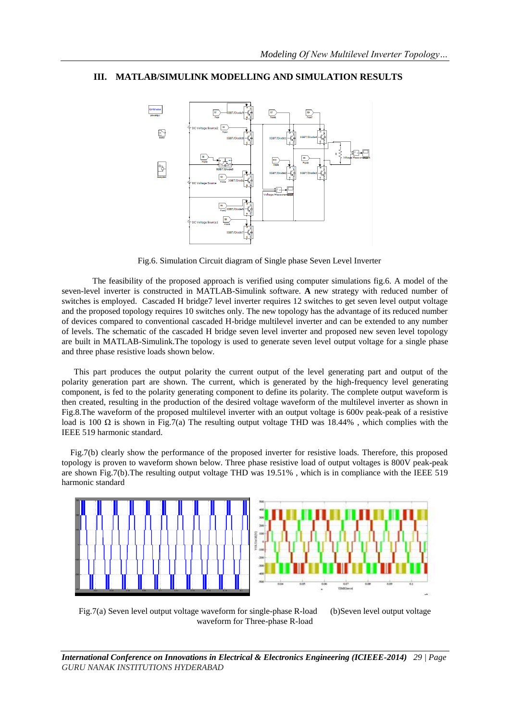

## **III. MATLAB/SIMULINK MODELLING AND SIMULATION RESULTS**

Fig.6. Simulation Circuit diagram of Single phase Seven Level Inverter

The feasibility of the proposed approach is verified using computer simulations fig.6. A model of the seven-level inverter is constructed in MATLAB-Simulink software. **A** new strategy with reduced number of switches is employed. Cascaded H bridge7 level inverter requires 12 switches to get seven level output voltage and the proposed topology requires 10 switches only. The new topology has the advantage of its reduced number of devices compared to conventional cascaded H-bridge multilevel inverter and can be extended to any number of levels. The schematic of the cascaded H bridge seven level inverter and proposed new seven level topology are built in MATLAB-Simulink.The topology is used to generate seven level output voltage for a single phase and three phase resistive loads shown below.

This part produces the output polarity the current output of the level generating part and output of the polarity generation part are shown. The current, which is generated by the high-frequency level generating component, is fed to the polarity generating component to define its polarity. The complete output waveform is then created, resulting in the production of the desired voltage waveform of the multilevel inverter as shown in Fig.8.The waveform of the proposed multilevel inverter with an output voltage is 600v peak-peak of a resistive load is 100  $\Omega$  is shown in Fig.7(a) The resulting output voltage THD was 18.44%, which complies with the IEEE 519 harmonic standard.

Fig.7(b) clearly show the performance of the proposed inverter for resistive loads. Therefore, this proposed topology is proven to waveform shown below. Three phase resistive load of output voltages is 800V peak-peak are shown Fig.7(b).The resulting output voltage THD was 19.51% , which is in compliance with the IEEE 519 harmonic standard



Fig.7(a) Seven level output voltage waveform for single-phase R-load (b)Seven level output voltage waveform for Three-phase R-load

*International Conference on Innovations in Electrical & Electronics Engineering (ICIEEE-2014) 29 | Page GURU NANAK INSTITUTIONS HYDERABAD*